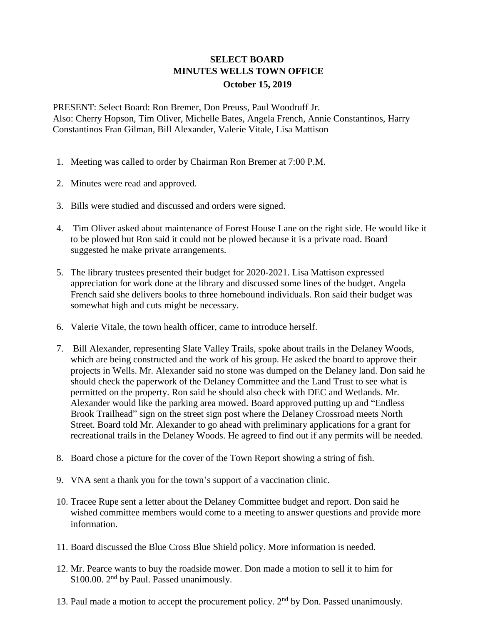## **SELECT BOARD MINUTES WELLS TOWN OFFICE October 15, 2019**

PRESENT: Select Board: Ron Bremer, Don Preuss, Paul Woodruff Jr. Also: Cherry Hopson, Tim Oliver, Michelle Bates, Angela French, Annie Constantinos, Harry Constantinos Fran Gilman, Bill Alexander, Valerie Vitale, Lisa Mattison

- 1. Meeting was called to order by Chairman Ron Bremer at 7:00 P.M.
- 2. Minutes were read and approved.
- 3. Bills were studied and discussed and orders were signed.
- 4. Tim Oliver asked about maintenance of Forest House Lane on the right side. He would like it to be plowed but Ron said it could not be plowed because it is a private road. Board suggested he make private arrangements.
- 5. The library trustees presented their budget for 2020-2021. Lisa Mattison expressed appreciation for work done at the library and discussed some lines of the budget. Angela French said she delivers books to three homebound individuals. Ron said their budget was somewhat high and cuts might be necessary.
- 6. Valerie Vitale, the town health officer, came to introduce herself.
- 7. Bill Alexander, representing Slate Valley Trails, spoke about trails in the Delaney Woods, which are being constructed and the work of his group. He asked the board to approve their projects in Wells. Mr. Alexander said no stone was dumped on the Delaney land. Don said he should check the paperwork of the Delaney Committee and the Land Trust to see what is permitted on the property. Ron said he should also check with DEC and Wetlands. Mr. Alexander would like the parking area mowed. Board approved putting up and "Endless Brook Trailhead" sign on the street sign post where the Delaney Crossroad meets North Street. Board told Mr. Alexander to go ahead with preliminary applications for a grant for recreational trails in the Delaney Woods. He agreed to find out if any permits will be needed.
- 8. Board chose a picture for the cover of the Town Report showing a string of fish.
- 9. VNA sent a thank you for the town's support of a vaccination clinic.
- 10. Tracee Rupe sent a letter about the Delaney Committee budget and report. Don said he wished committee members would come to a meeting to answer questions and provide more information.
- 11. Board discussed the Blue Cross Blue Shield policy. More information is needed.
- 12. Mr. Pearce wants to buy the roadside mower. Don made a motion to sell it to him for \$100.00. 2<sup>nd</sup> by Paul. Passed unanimously.
- 13. Paul made a motion to accept the procurement policy.  $2<sup>nd</sup>$  by Don. Passed unanimously.